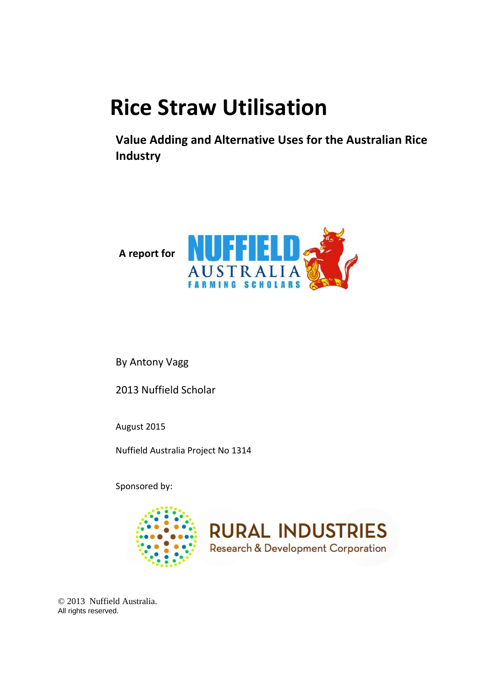# **Rice Straw Utilisation**

**Value Adding and Alternative Uses for the Australian Rice Industry**



By Antony Vagg

2013 Nuffield Scholar

August 2015

Nuffield Australia Project No 1314

Sponsored by:





© 2013 Nuffield Australia. All rights reserved.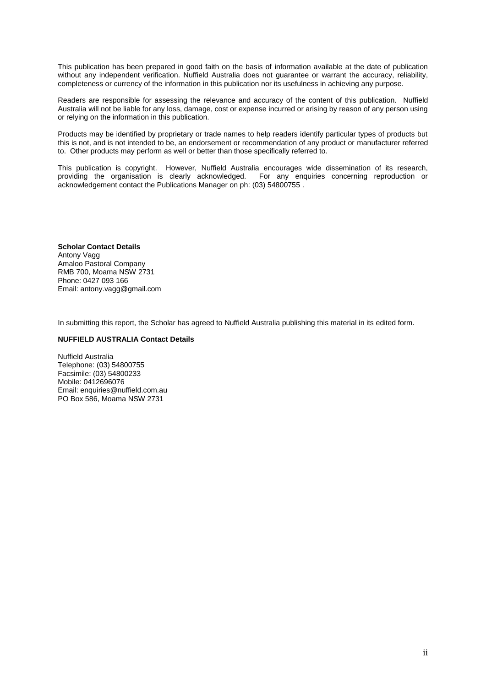This publication has been prepared in good faith on the basis of information available at the date of publication without any independent verification. Nuffield Australia does not guarantee or warrant the accuracy, reliability, completeness or currency of the information in this publication nor its usefulness in achieving any purpose.

Readers are responsible for assessing the relevance and accuracy of the content of this publication. Nuffield Australia will not be liable for any loss, damage, cost or expense incurred or arising by reason of any person using or relying on the information in this publication.

Products may be identified by proprietary or trade names to help readers identify particular types of products but this is not, and is not intended to be, an endorsement or recommendation of any product or manufacturer referred to. Other products may perform as well or better than those specifically referred to.

This publication is copyright. However, Nuffield Australia encourages wide dissemination of its research, providing the organisation is clearly acknowledged. For any enquiries concerning reproduction or providing the organisation is clearly acknowledged. acknowledgement contact the Publications Manager on ph: (03) 54800755 .

#### **Scholar Contact Details** Antony Vagg Amaloo Pastoral Company RMB 700, Moama NSW 2731 Phone: 0427 093 166 Email: antony.vagg@gmail.com

In submitting this report, the Scholar has agreed to Nuffield Australia publishing this material in its edited form.

#### **NUFFIELD AUSTRALIA Contact Details**

Nuffield Australia Telephone: (03) 54800755 Facsimile: (03) 54800233 Mobile: 0412696076 Email: enquiries@nuffield.com.au PO Box 586, Moama NSW 2731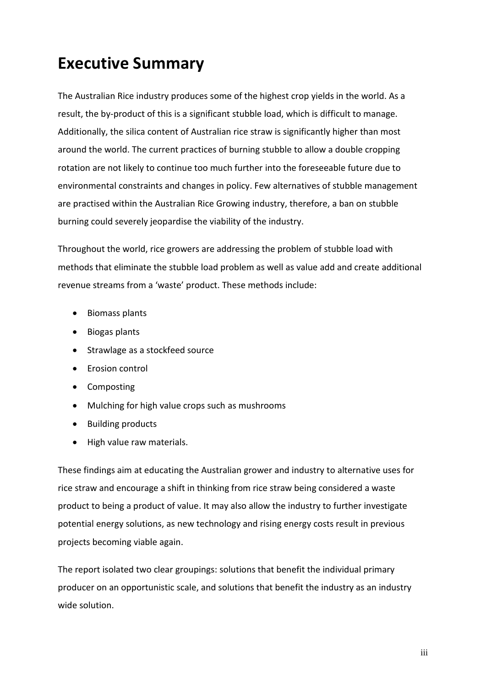### **Executive Summary**

The Australian Rice industry produces some of the highest crop yields in the world. As a result, the by-product of this is a significant stubble load, which is difficult to manage. Additionally, the silica content of Australian rice straw is significantly higher than most around the world. The current practices of burning stubble to allow a double cropping rotation are not likely to continue too much further into the foreseeable future due to environmental constraints and changes in policy. Few alternatives of stubble management are practised within the Australian Rice Growing industry, therefore, a ban on stubble burning could severely jeopardise the viability of the industry.

Throughout the world, rice growers are addressing the problem of stubble load with methods that eliminate the stubble load problem as well as value add and create additional revenue streams from a 'waste' product. These methods include:

- Biomass plants
- Biogas plants
- Strawlage as a stockfeed source
- Erosion control
- Composting
- Mulching for high value crops such as mushrooms
- Building products
- High value raw materials.

These findings aim at educating the Australian grower and industry to alternative uses for rice straw and encourage a shift in thinking from rice straw being considered a waste product to being a product of value. It may also allow the industry to further investigate potential energy solutions, as new technology and rising energy costs result in previous projects becoming viable again.

The report isolated two clear groupings: solutions that benefit the individual primary producer on an opportunistic scale, and solutions that benefit the industry as an industry wide solution.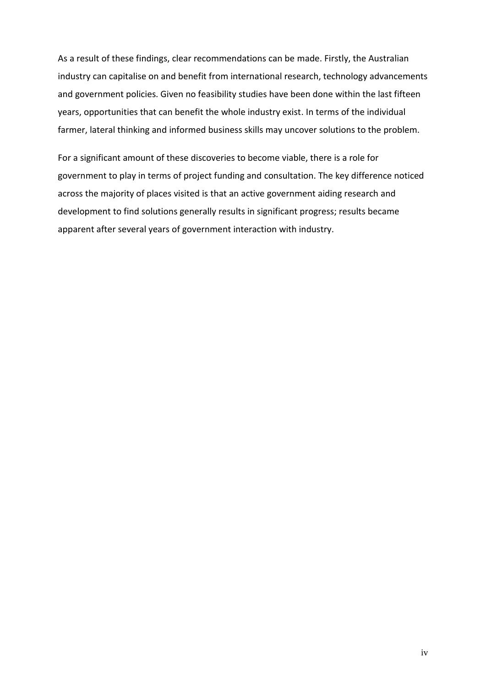As a result of these findings, clear recommendations can be made. Firstly, the Australian industry can capitalise on and benefit from international research, technology advancements and government policies. Given no feasibility studies have been done within the last fifteen years, opportunities that can benefit the whole industry exist. In terms of the individual farmer, lateral thinking and informed business skills may uncover solutions to the problem.

For a significant amount of these discoveries to become viable, there is a role for government to play in terms of project funding and consultation. The key difference noticed across the majority of places visited is that an active government aiding research and development to find solutions generally results in significant progress; results became apparent after several years of government interaction with industry.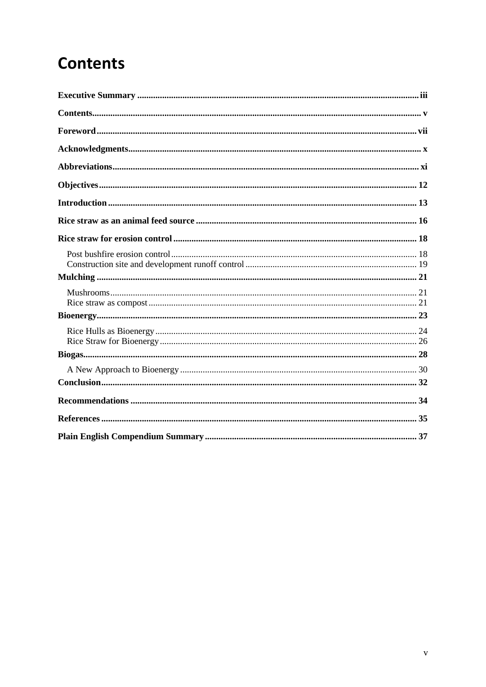## **Contents**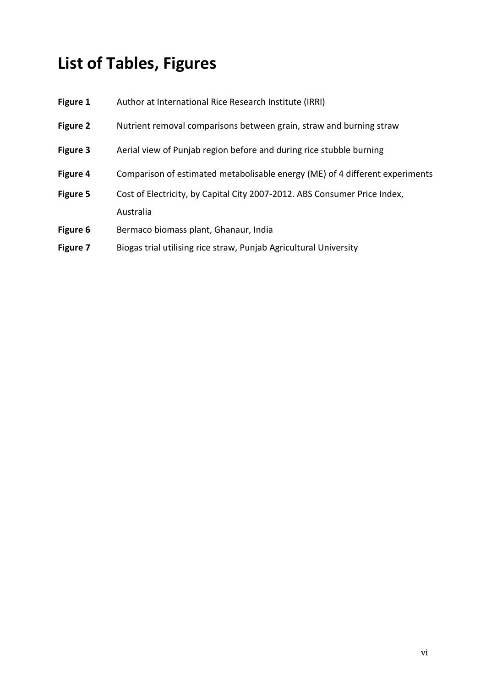# **List of Tables, Figures**

| Figure 1 | Author at International Rice Research Institute (IRRI)                       |
|----------|------------------------------------------------------------------------------|
| Figure 2 | Nutrient removal comparisons between grain, straw and burning straw          |
| Figure 3 | Aerial view of Punjab region before and during rice stubble burning          |
| Figure 4 | Comparison of estimated metabolisable energy (ME) of 4 different experiments |
| Figure 5 | Cost of Electricity, by Capital City 2007-2012. ABS Consumer Price Index,    |
|          | Australia                                                                    |
| Figure 6 | Bermaco biomass plant, Ghanaur, India                                        |
| Figure 7 | Biogas trial utilising rice straw, Punjab Agricultural University            |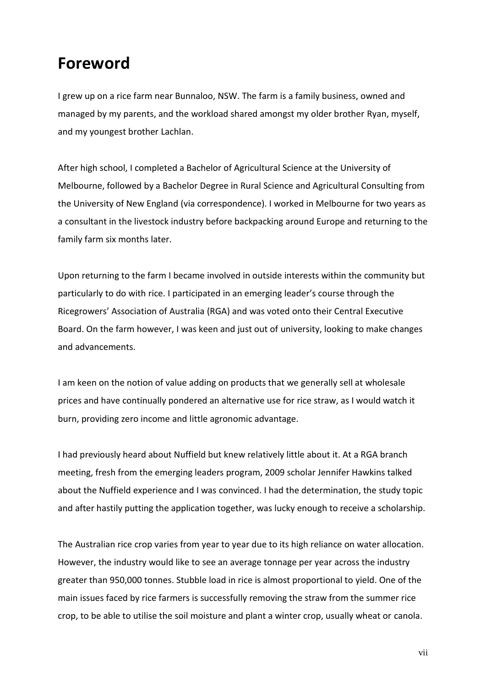### **Foreword**

I grew up on a rice farm near Bunnaloo, NSW. The farm is a family business, owned and managed by my parents, and the workload shared amongst my older brother Ryan, myself, and my youngest brother Lachlan.

After high school, I completed a Bachelor of Agricultural Science at the University of Melbourne, followed by a Bachelor Degree in Rural Science and Agricultural Consulting from the University of New England (via correspondence). I worked in Melbourne for two years as a consultant in the livestock industry before backpacking around Europe and returning to the family farm six months later.

Upon returning to the farm I became involved in outside interests within the community but particularly to do with rice. I participated in an emerging leader's course through the Ricegrowers' Association of Australia (RGA) and was voted onto their Central Executive Board. On the farm however, I was keen and just out of university, looking to make changes and advancements.

I am keen on the notion of value adding on products that we generally sell at wholesale prices and have continually pondered an alternative use for rice straw, as I would watch it burn, providing zero income and little agronomic advantage.

I had previously heard about Nuffield but knew relatively little about it. At a RGA branch meeting, fresh from the emerging leaders program, 2009 scholar Jennifer Hawkins talked about the Nuffield experience and I was convinced. I had the determination, the study topic and after hastily putting the application together, was lucky enough to receive a scholarship.

The Australian rice crop varies from year to year due to its high reliance on water allocation. However, the industry would like to see an average tonnage per year across the industry greater than 950,000 tonnes. Stubble load in rice is almost proportional to yield. One of the main issues faced by rice farmers is successfully removing the straw from the summer rice crop, to be able to utilise the soil moisture and plant a winter crop, usually wheat or canola.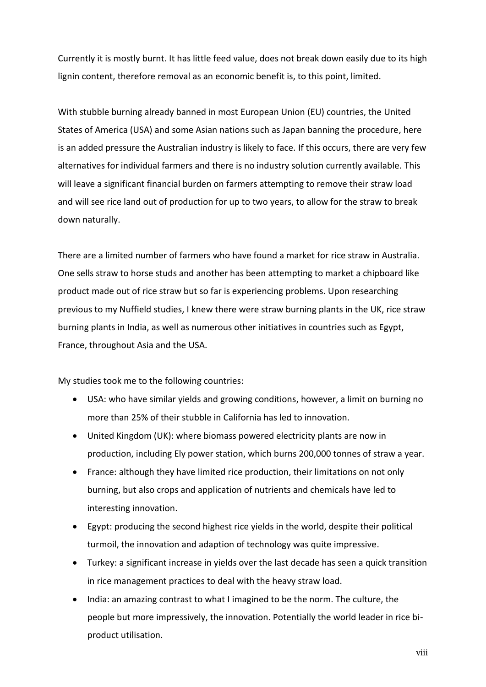Currently it is mostly burnt. It has little feed value, does not break down easily due to its high lignin content, therefore removal as an economic benefit is, to this point, limited.

With stubble burning already banned in most European Union (EU) countries, the United States of America (USA) and some Asian nations such as Japan banning the procedure, here is an added pressure the Australian industry is likely to face. If this occurs, there are very few alternatives for individual farmers and there is no industry solution currently available. This will leave a significant financial burden on farmers attempting to remove their straw load and will see rice land out of production for up to two years, to allow for the straw to break down naturally.

There are a limited number of farmers who have found a market for rice straw in Australia. One sells straw to horse studs and another has been attempting to market a chipboard like product made out of rice straw but so far is experiencing problems. Upon researching previous to my Nuffield studies, I knew there were straw burning plants in the UK, rice straw burning plants in India, as well as numerous other initiatives in countries such as Egypt, France, throughout Asia and the USA.

My studies took me to the following countries:

- USA: who have similar yields and growing conditions, however, a limit on burning no more than 25% of their stubble in California has led to innovation.
- United Kingdom (UK): where biomass powered electricity plants are now in production, including Ely power station, which burns 200,000 tonnes of straw a year.
- France: although they have limited rice production, their limitations on not only burning, but also crops and application of nutrients and chemicals have led to interesting innovation.
- Egypt: producing the second highest rice yields in the world, despite their political turmoil, the innovation and adaption of technology was quite impressive.
- Turkey: a significant increase in yields over the last decade has seen a quick transition in rice management practices to deal with the heavy straw load.
- India: an amazing contrast to what I imagined to be the norm. The culture, the people but more impressively, the innovation. Potentially the world leader in rice biproduct utilisation.

viii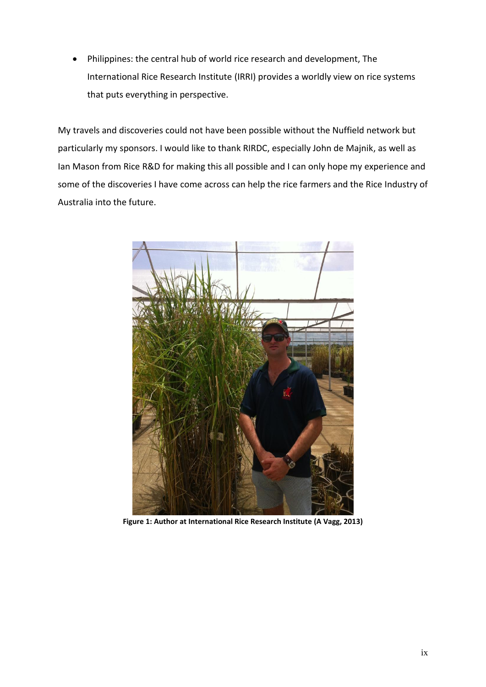Philippines: the central hub of world rice research and development, The International Rice Research Institute (IRRI) provides a worldly view on rice systems that puts everything in perspective.

My travels and discoveries could not have been possible without the Nuffield network but particularly my sponsors. I would like to thank RIRDC, especially John de Majnik, as well as Ian Mason from Rice R&D for making this all possible and I can only hope my experience and some of the discoveries I have come across can help the rice farmers and the Rice Industry of Australia into the future.



**Figure 1: Author at International Rice Research Institute (A Vagg, 2013)**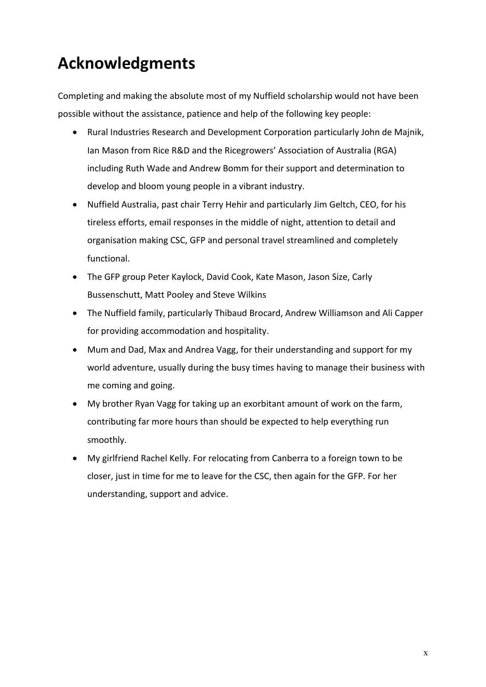## **Acknowledgments**

Completing and making the absolute most of my Nuffield scholarship would not have been possible without the assistance, patience and help of the following key people:

- Rural Industries Research and Development Corporation particularly John de Majnik, Ian Mason from Rice R&D and the Ricegrowers' Association of Australia (RGA) including Ruth Wade and Andrew Bomm for their support and determination to develop and bloom young people in a vibrant industry.
- Nuffield Australia, past chair Terry Hehir and particularly Jim Geltch, CEO, for his tireless efforts, email responses in the middle of night, attention to detail and organisation making CSC, GFP and personal travel streamlined and completely functional.
- The GFP group Peter Kaylock, David Cook, Kate Mason, Jason Size, Carly Bussenschutt, Matt Pooley and Steve Wilkins
- The Nuffield family, particularly Thibaud Brocard, Andrew Williamson and Ali Capper for providing accommodation and hospitality.
- Mum and Dad, Max and Andrea Vagg, for their understanding and support for my world adventure, usually during the busy times having to manage their business with me coming and going.
- My brother Ryan Vagg for taking up an exorbitant amount of work on the farm, contributing far more hours than should be expected to help everything run smoothly.
- My girlfriend Rachel Kelly. For relocating from Canberra to a foreign town to be closer, just in time for me to leave for the CSC, then again for the GFP. For her understanding, support and advice.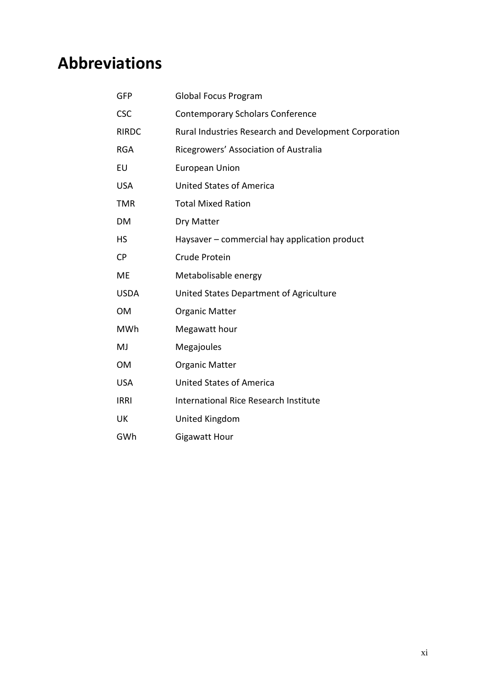## **Abbreviations**

| GFP          | Global Focus Program                                  |
|--------------|-------------------------------------------------------|
| <b>CSC</b>   | <b>Contemporary Scholars Conference</b>               |
| <b>RIRDC</b> | Rural Industries Research and Development Corporation |
| <b>RGA</b>   | Ricegrowers' Association of Australia                 |
| EU           | <b>European Union</b>                                 |
| <b>USA</b>   | <b>United States of America</b>                       |
| <b>TMR</b>   | <b>Total Mixed Ration</b>                             |
| DM           | Dry Matter                                            |
| <b>HS</b>    | Haysaver – commercial hay application product         |
| <b>CP</b>    | Crude Protein                                         |
| <b>ME</b>    | Metabolisable energy                                  |
| <b>USDA</b>  | United States Department of Agriculture               |
| <b>OM</b>    | <b>Organic Matter</b>                                 |
| <b>MWh</b>   | Megawatt hour                                         |
| MJ           | Megajoules                                            |
| <b>OM</b>    | <b>Organic Matter</b>                                 |
| <b>USA</b>   | <b>United States of America</b>                       |
| <b>IRRI</b>  | <b>International Rice Research Institute</b>          |
| UK           | United Kingdom                                        |
| GWh          | Gigawatt Hour                                         |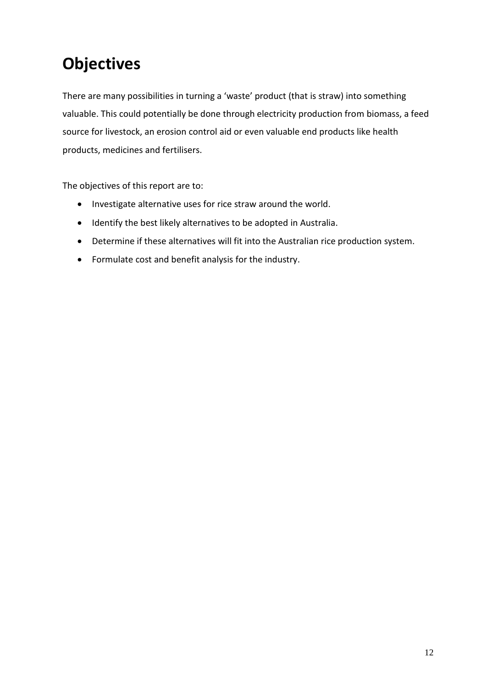## **Objectives**

There are many possibilities in turning a 'waste' product (that is straw) into something valuable. This could potentially be done through electricity production from biomass, a feed source for livestock, an erosion control aid or even valuable end products like health products, medicines and fertilisers.

The objectives of this report are to:

- Investigate alternative uses for rice straw around the world.
- Identify the best likely alternatives to be adopted in Australia.
- Determine if these alternatives will fit into the Australian rice production system.
- Formulate cost and benefit analysis for the industry.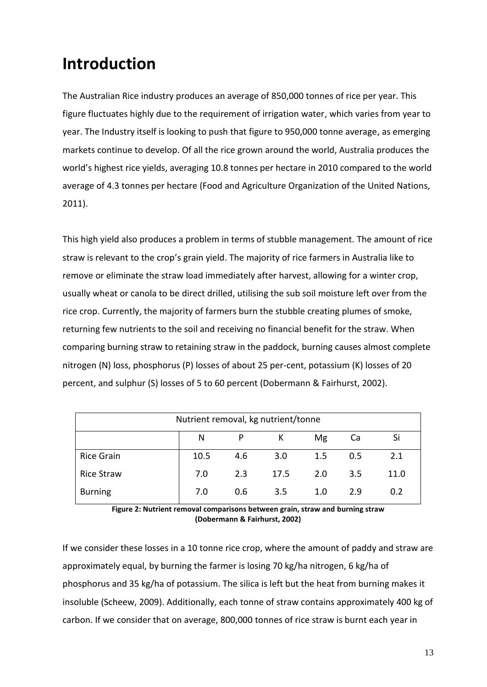## **Introduction**

The Australian Rice industry produces an average of 850,000 tonnes of rice per year. This figure fluctuates highly due to the requirement of irrigation water, which varies from year to year. The Industry itself is looking to push that figure to 950,000 tonne average, as emerging markets continue to develop. Of all the rice grown around the world, Australia produces the world's highest rice yields, averaging 10.8 tonnes per hectare in 2010 compared to the world average of 4.3 tonnes per hectare (Food and Agriculture Organization of the United Nations, 2011).

This high yield also produces a problem in terms of stubble management. The amount of rice straw is relevant to the crop's grain yield. The majority of rice farmers in Australia like to remove or eliminate the straw load immediately after harvest, allowing for a winter crop, usually wheat or canola to be direct drilled, utilising the sub soil moisture left over from the rice crop. Currently, the majority of farmers burn the stubble creating plumes of smoke, returning few nutrients to the soil and receiving no financial benefit for the straw. When comparing burning straw to retaining straw in the paddock, burning causes almost complete nitrogen (N) loss, phosphorus (P) losses of about 25 per-cent, potassium (K) losses of 20 percent, and sulphur (S) losses of 5 to 60 percent (Dobermann & Fairhurst, 2002).

| Nutrient removal, kg nutrient/tonne |      |     |      |         |     |      |
|-------------------------------------|------|-----|------|---------|-----|------|
|                                     | N    | P   | К    | Mg      | Ca  | Si   |
| <b>Rice Grain</b>                   | 10.5 | 4.6 | 3.0  | $1.5\,$ | 0.5 | 2.1  |
| <b>Rice Straw</b>                   | 7.0  | 2.3 | 17.5 | 2.0     | 3.5 | 11.0 |
| <b>Burning</b>                      | 7.0  | 0.6 | 3.5  | 1.0     | 2.9 | 0.2  |

**Figure 2: Nutrient removal comparisons between grain, straw and burning straw (Dobermann & Fairhurst, 2002)**

If we consider these losses in a 10 tonne rice crop, where the amount of paddy and straw are approximately equal, by burning the farmer is losing 70 kg/ha nitrogen, 6 kg/ha of phosphorus and 35 kg/ha of potassium. The silica is left but the heat from burning makes it insoluble (Scheew, 2009). Additionally, each tonne of straw contains approximately 400 kg of carbon. If we consider that on average, 800,000 tonnes of rice straw is burnt each year in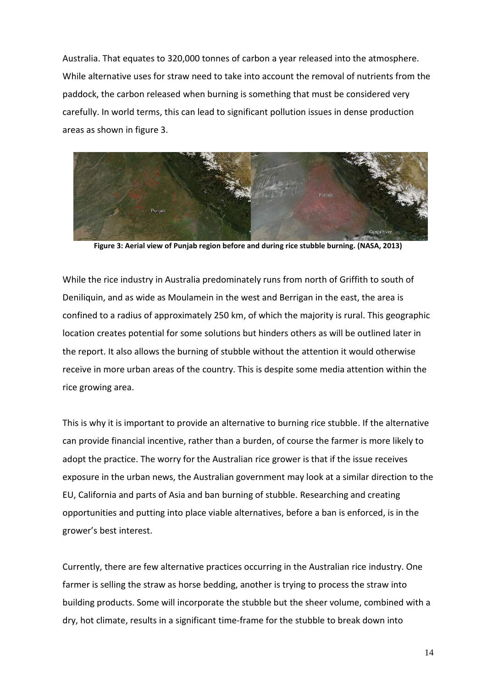Australia. That equates to 320,000 tonnes of carbon a year released into the atmosphere. While alternative uses for straw need to take into account the removal of nutrients from the paddock, the carbon released when burning is something that must be considered very carefully. In world terms, this can lead to significant pollution issues in dense production areas as shown in figure 3.



**Figure 3: Aerial view of Punjab region before and during rice stubble burning. (NASA, 2013)**

While the rice industry in Australia predominately runs from north of Griffith to south of Deniliquin, and as wide as Moulamein in the west and Berrigan in the east, the area is confined to a radius of approximately 250 km, of which the majority is rural. This geographic location creates potential for some solutions but hinders others as will be outlined later in the report. It also allows the burning of stubble without the attention it would otherwise receive in more urban areas of the country. This is despite some media attention within the rice growing area.

This is why it is important to provide an alternative to burning rice stubble. If the alternative can provide financial incentive, rather than a burden, of course the farmer is more likely to adopt the practice. The worry for the Australian rice grower is that if the issue receives exposure in the urban news, the Australian government may look at a similar direction to the EU, California and parts of Asia and ban burning of stubble. Researching and creating opportunities and putting into place viable alternatives, before a ban is enforced, is in the grower's best interest.

Currently, there are few alternative practices occurring in the Australian rice industry. One farmer is selling the straw as horse bedding, another is trying to process the straw into building products. Some will incorporate the stubble but the sheer volume, combined with a dry, hot climate, results in a significant time-frame for the stubble to break down into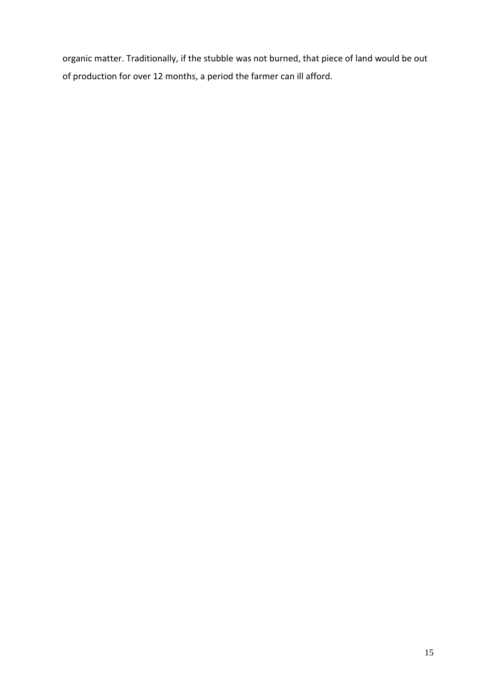organic matter. Traditionally, if the stubble was not burned, that piece of land would be out of production for over 12 months, a period the farmer can ill afford.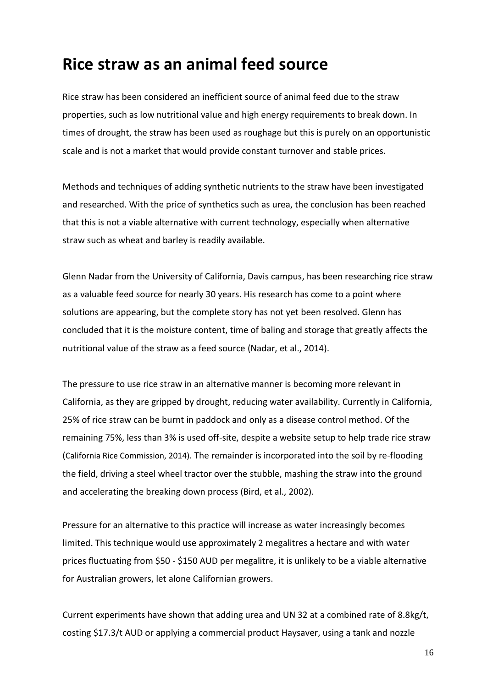### **Rice straw as an animal feed source**

Rice straw has been considered an inefficient source of animal feed due to the straw properties, such as low nutritional value and high energy requirements to break down. In times of drought, the straw has been used as roughage but this is purely on an opportunistic scale and is not a market that would provide constant turnover and stable prices.

Methods and techniques of adding synthetic nutrients to the straw have been investigated and researched. With the price of synthetics such as urea, the conclusion has been reached that this is not a viable alternative with current technology, especially when alternative straw such as wheat and barley is readily available.

Glenn Nadar from the University of California, Davis campus, has been researching rice straw as a valuable feed source for nearly 30 years. His research has come to a point where solutions are appearing, but the complete story has not yet been resolved. Glenn has concluded that it is the moisture content, time of baling and storage that greatly affects the nutritional value of the straw as a feed source (Nadar, et al., 2014).

The pressure to use rice straw in an alternative manner is becoming more relevant in California, as they are gripped by drought, reducing water availability. Currently in California, 25% of rice straw can be burnt in paddock and only as a disease control method. Of the remaining 75%, less than 3% is used off-site, despite a website setup to help trade rice straw (California Rice Commission, 2014). The remainder is incorporated into the soil by re-flooding the field, driving a steel wheel tractor over the stubble, mashing the straw into the ground and accelerating the breaking down process (Bird, et al., 2002).

Pressure for an alternative to this practice will increase as water increasingly becomes limited. This technique would use approximately 2 megalitres a hectare and with water prices fluctuating from \$50 - \$150 AUD per megalitre, it is unlikely to be a viable alternative for Australian growers, let alone Californian growers.

Current experiments have shown that adding urea and UN 32 at a combined rate of 8.8kg/t, costing \$17.3/t AUD or applying a commercial product Haysaver, using a tank and nozzle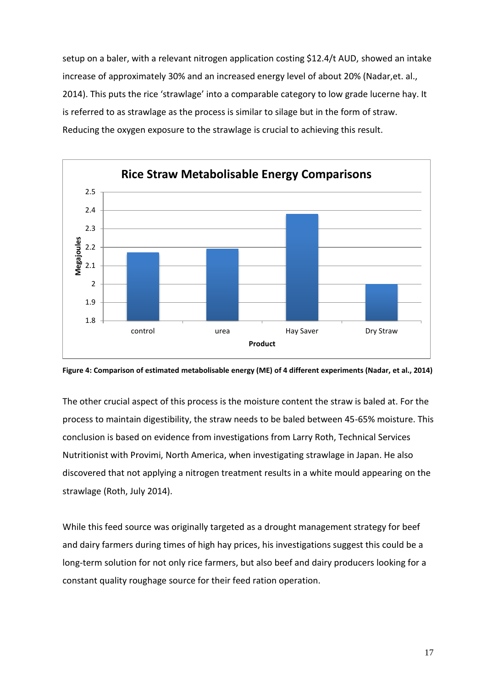setup on a baler, with a relevant nitrogen application costing \$12.4/t AUD, showed an intake increase of approximately 30% and an increased energy level of about 20% (Nadar,et. al., 2014). This puts the rice 'strawlage' into a comparable category to low grade lucerne hay. It is referred to as strawlage as the process is similar to silage but in the form of straw. Reducing the oxygen exposure to the strawlage is crucial to achieving this result.





The other crucial aspect of this process is the moisture content the straw is baled at. For the process to maintain digestibility, the straw needs to be baled between 45-65% moisture. This conclusion is based on evidence from investigations from Larry Roth, Technical Services Nutritionist with Provimi, North America, when investigating strawlage in Japan. He also discovered that not applying a nitrogen treatment results in a white mould appearing on the strawlage (Roth, July 2014).

While this feed source was originally targeted as a drought management strategy for beef and dairy farmers during times of high hay prices, his investigations suggest this could be a long-term solution for not only rice farmers, but also beef and dairy producers looking for a constant quality roughage source for their feed ration operation.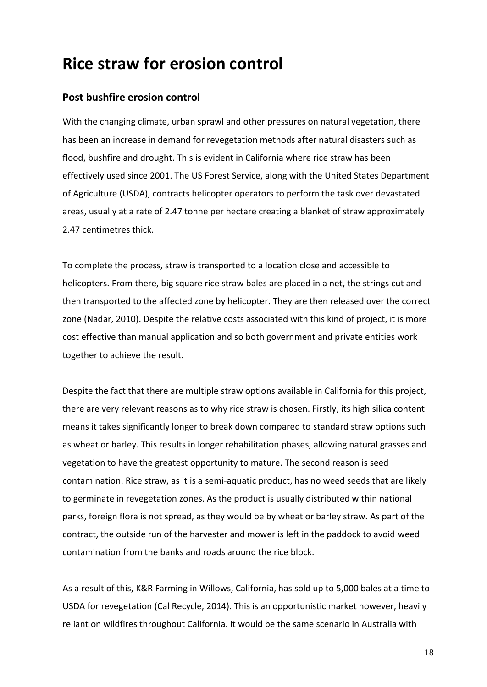### **Rice straw for erosion control**

#### **Post bushfire erosion control**

With the changing climate, urban sprawl and other pressures on natural vegetation, there has been an increase in demand for revegetation methods after natural disasters such as flood, bushfire and drought. This is evident in California where rice straw has been effectively used since 2001. The US Forest Service, along with the United States Department of Agriculture (USDA), contracts helicopter operators to perform the task over devastated areas, usually at a rate of 2.47 tonne per hectare creating a blanket of straw approximately 2.47 centimetres thick.

To complete the process, straw is transported to a location close and accessible to helicopters. From there, big square rice straw bales are placed in a net, the strings cut and then transported to the affected zone by helicopter. They are then released over the correct zone (Nadar, 2010). Despite the relative costs associated with this kind of project, it is more cost effective than manual application and so both government and private entities work together to achieve the result.

Despite the fact that there are multiple straw options available in California for this project, there are very relevant reasons as to why rice straw is chosen. Firstly, its high silica content means it takes significantly longer to break down compared to standard straw options such as wheat or barley. This results in longer rehabilitation phases, allowing natural grasses and vegetation to have the greatest opportunity to mature. The second reason is seed contamination. Rice straw, as it is a semi-aquatic product, has no weed seeds that are likely to germinate in revegetation zones. As the product is usually distributed within national parks, foreign flora is not spread, as they would be by wheat or barley straw. As part of the contract, the outside run of the harvester and mower is left in the paddock to avoid weed contamination from the banks and roads around the rice block.

As a result of this, K&R Farming in Willows, California, has sold up to 5,000 bales at a time to USDA for revegetation (Cal Recycle, 2014). This is an opportunistic market however, heavily reliant on wildfires throughout California. It would be the same scenario in Australia with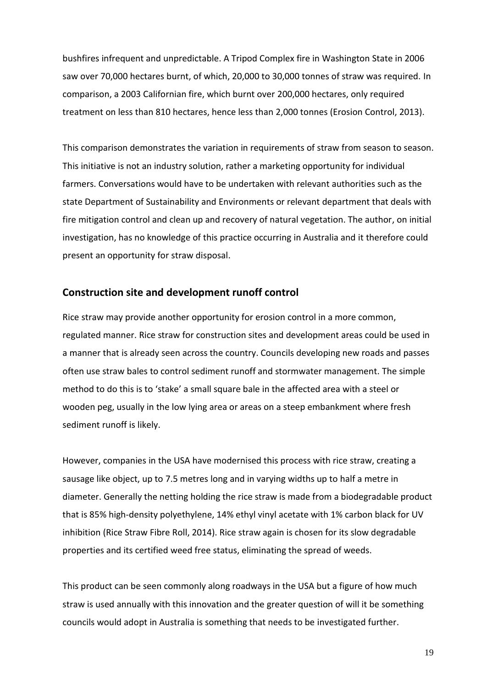bushfires infrequent and unpredictable. A Tripod Complex fire in Washington State in 2006 saw over 70,000 hectares burnt, of which, 20,000 to 30,000 tonnes of straw was required. In comparison, a 2003 Californian fire, which burnt over 200,000 hectares, only required treatment on less than 810 hectares, hence less than 2,000 tonnes (Erosion Control, 2013).

This comparison demonstrates the variation in requirements of straw from season to season. This initiative is not an industry solution, rather a marketing opportunity for individual farmers. Conversations would have to be undertaken with relevant authorities such as the state Department of Sustainability and Environments or relevant department that deals with fire mitigation control and clean up and recovery of natural vegetation. The author, on initial investigation, has no knowledge of this practice occurring in Australia and it therefore could present an opportunity for straw disposal.

#### **Construction site and development runoff control**

Rice straw may provide another opportunity for erosion control in a more common, regulated manner. Rice straw for construction sites and development areas could be used in a manner that is already seen across the country. Councils developing new roads and passes often use straw bales to control sediment runoff and stormwater management. The simple method to do this is to 'stake' a small square bale in the affected area with a steel or wooden peg, usually in the low lying area or areas on a steep embankment where fresh sediment runoff is likely.

However, companies in the USA have modernised this process with rice straw, creating a sausage like object, up to 7.5 metres long and in varying widths up to half a metre in diameter. Generally the netting holding the rice straw is made from a biodegradable product that is 85% high-density polyethylene, 14% ethyl vinyl acetate with 1% carbon black for UV inhibition (Rice Straw Fibre Roll, 2014). Rice straw again is chosen for its slow degradable properties and its certified weed free status, eliminating the spread of weeds.

This product can be seen commonly along roadways in the USA but a figure of how much straw is used annually with this innovation and the greater question of will it be something councils would adopt in Australia is something that needs to be investigated further.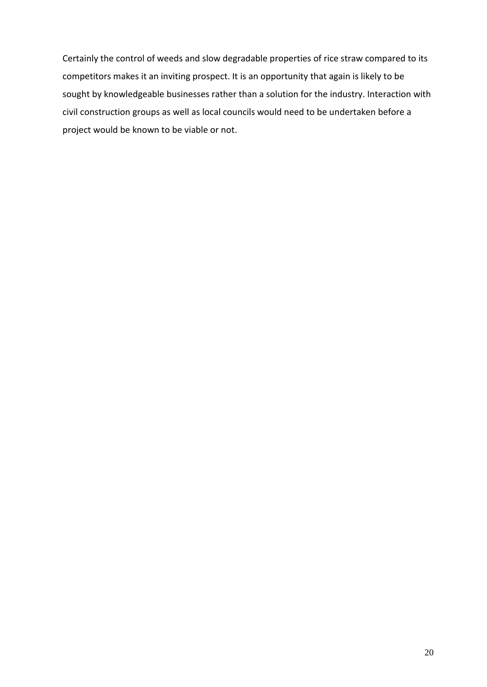Certainly the control of weeds and slow degradable properties of rice straw compared to its competitors makes it an inviting prospect. It is an opportunity that again is likely to be sought by knowledgeable businesses rather than a solution for the industry. Interaction with civil construction groups as well as local councils would need to be undertaken before a project would be known to be viable or not.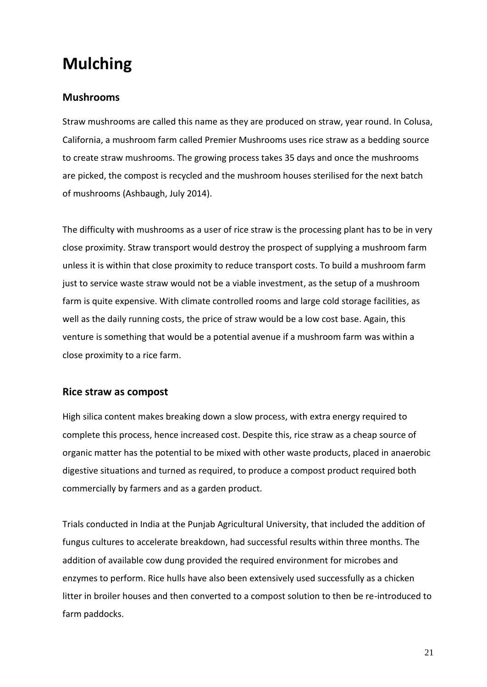## **Mulching**

#### **Mushrooms**

Straw mushrooms are called this name as they are produced on straw, year round. In Colusa, California, a mushroom farm called Premier Mushrooms uses rice straw as a bedding source to create straw mushrooms. The growing process takes 35 days and once the mushrooms are picked, the compost is recycled and the mushroom houses sterilised for the next batch of mushrooms (Ashbaugh, July 2014).

The difficulty with mushrooms as a user of rice straw is the processing plant has to be in very close proximity. Straw transport would destroy the prospect of supplying a mushroom farm unless it is within that close proximity to reduce transport costs. To build a mushroom farm just to service waste straw would not be a viable investment, as the setup of a mushroom farm is quite expensive. With climate controlled rooms and large cold storage facilities, as well as the daily running costs, the price of straw would be a low cost base. Again, this venture is something that would be a potential avenue if a mushroom farm was within a close proximity to a rice farm.

#### **Rice straw as compost**

High silica content makes breaking down a slow process, with extra energy required to complete this process, hence increased cost. Despite this, rice straw as a cheap source of organic matter has the potential to be mixed with other waste products, placed in anaerobic digestive situations and turned as required, to produce a compost product required both commercially by farmers and as a garden product.

Trials conducted in India at the Punjab Agricultural University, that included the addition of fungus cultures to accelerate breakdown, had successful results within three months. The addition of available cow dung provided the required environment for microbes and enzymes to perform. Rice hulls have also been extensively used successfully as a chicken litter in broiler houses and then converted to a compost solution to then be re-introduced to farm paddocks.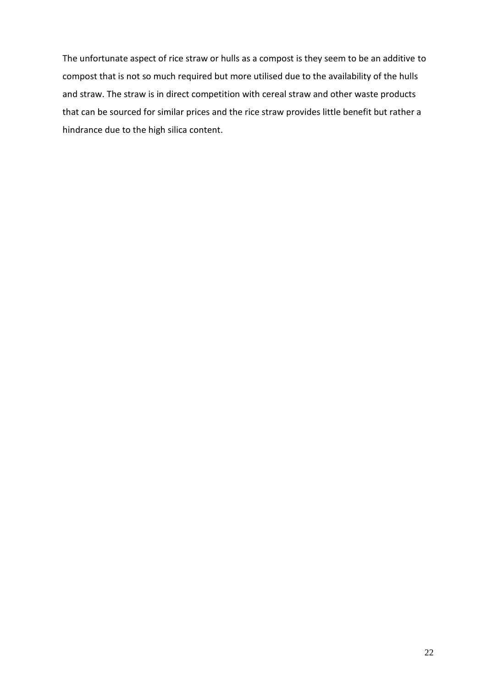The unfortunate aspect of rice straw or hulls as a compost is they seem to be an additive to compost that is not so much required but more utilised due to the availability of the hulls and straw. The straw is in direct competition with cereal straw and other waste products that can be sourced for similar prices and the rice straw provides little benefit but rather a hindrance due to the high silica content.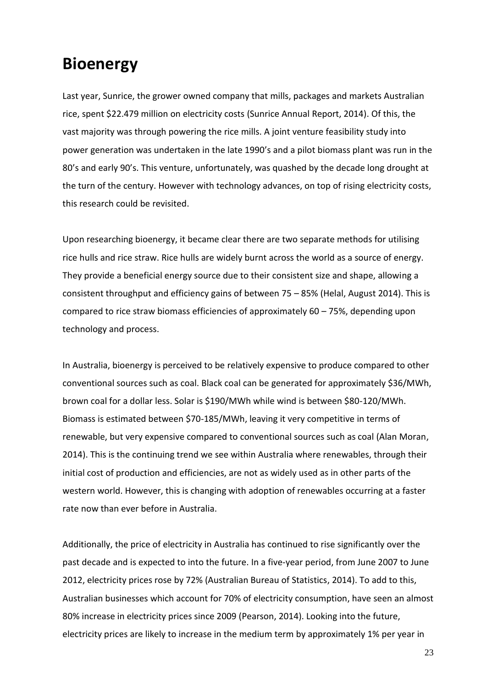### **Bioenergy**

Last year, Sunrice, the grower owned company that mills, packages and markets Australian rice, spent \$22.479 million on electricity costs (Sunrice Annual Report, 2014). Of this, the vast majority was through powering the rice mills. A joint venture feasibility study into power generation was undertaken in the late 1990's and a pilot biomass plant was run in the 80's and early 90's. This venture, unfortunately, was quashed by the decade long drought at the turn of the century. However with technology advances, on top of rising electricity costs, this research could be revisited.

Upon researching bioenergy, it became clear there are two separate methods for utilising rice hulls and rice straw. Rice hulls are widely burnt across the world as a source of energy. They provide a beneficial energy source due to their consistent size and shape, allowing a consistent throughput and efficiency gains of between 75 – 85% (Helal, August 2014). This is compared to rice straw biomass efficiencies of approximately 60 – 75%, depending upon technology and process.

In Australia, bioenergy is perceived to be relatively expensive to produce compared to other conventional sources such as coal. Black coal can be generated for approximately \$36/MWh, brown coal for a dollar less. Solar is \$190/MWh while wind is between \$80-120/MWh. Biomass is estimated between \$70-185/MWh, leaving it very competitive in terms of renewable, but very expensive compared to conventional sources such as coal (Alan Moran, 2014). This is the continuing trend we see within Australia where renewables, through their initial cost of production and efficiencies, are not as widely used as in other parts of the western world. However, this is changing with adoption of renewables occurring at a faster rate now than ever before in Australia.

Additionally, the price of electricity in Australia has continued to rise significantly over the past decade and is expected to into the future. In a five-year period, from June 2007 to June 2012, electricity prices rose by 72% (Australian Bureau of Statistics, 2014). To add to this, Australian businesses which account for 70% of electricity consumption, have seen an almost 80% increase in electricity prices since 2009 (Pearson, 2014). Looking into the future, electricity prices are likely to increase in the medium term by approximately 1% per year in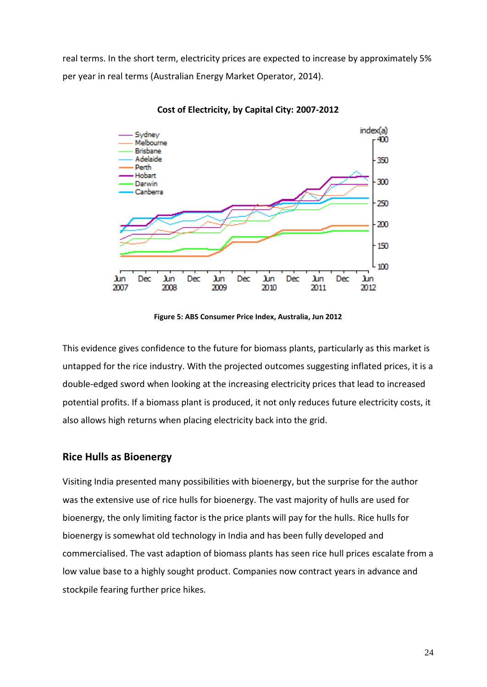real terms. In the short term, electricity prices are expected to increase by approximately 5% per year in real terms (Australian Energy Market Operator, 2014).



**Cost of Electricity, by Capital City: 2007-2012**

**Figure 5: ABS [Consumer Price Index, Australia, Jun 2012](http://www.abs.gov.au/ausstats/abs@.nsf/mf/6401.0)**

This evidence gives confidence to the future for biomass plants, particularly as this market is untapped for the rice industry. With the projected outcomes suggesting inflated prices, it is a double-edged sword when looking at the increasing electricity prices that lead to increased potential profits. If a biomass plant is produced, it not only reduces future electricity costs, it also allows high returns when placing electricity back into the grid.

#### **Rice Hulls as Bioenergy**

Visiting India presented many possibilities with bioenergy, but the surprise for the author was the extensive use of rice hulls for bioenergy. The vast majority of hulls are used for bioenergy, the only limiting factor is the price plants will pay for the hulls. Rice hulls for bioenergy is somewhat old technology in India and has been fully developed and commercialised. The vast adaption of biomass plants has seen rice hull prices escalate from a low value base to a highly sought product. Companies now contract years in advance and stockpile fearing further price hikes.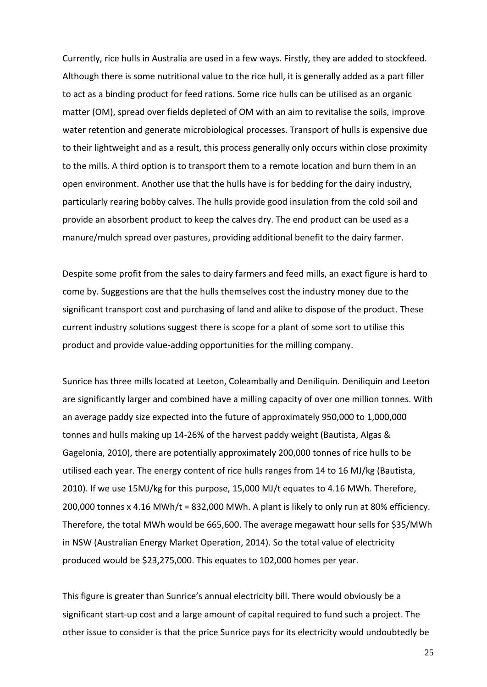Currently, rice hulls in Australia are used in a few ways. Firstly, they are added to stockfeed. Although there is some nutritional value to the rice hull, it is generally added as a part filler to act as a binding product for feed rations. Some rice hulls can be utilised as an organic matter (OM), spread over fields depleted of OM with an aim to revitalise the soils, improve water retention and generate microbiological processes. Transport of hulls is expensive due to their lightweight and as a result, this process generally only occurs within close proximity to the mills. A third option is to transport them to a remote location and burn them in an open environment. Another use that the hulls have is for bedding for the dairy industry, particularly rearing bobby calves. The hulls provide good insulation from the cold soil and provide an absorbent product to keep the calves dry. The end product can be used as a manure/mulch spread over pastures, providing additional benefit to the dairy farmer.

Despite some profit from the sales to dairy farmers and feed mills, an exact figure is hard to come by. Suggestions are that the hulls themselves cost the industry money due to the significant transport cost and purchasing of land and alike to dispose of the product. These current industry solutions suggest there is scope for a plant of some sort to utilise this product and provide value-adding opportunities for the milling company.

Sunrice has three mills located at Leeton, Coleambally and Deniliquin. Deniliquin and Leeton are significantly larger and combined have a milling capacity of over one million tonnes. With an average paddy size expected into the future of approximately 950,000 to 1,000,000 tonnes and hulls making up 14-26% of the harvest paddy weight (Bautista, Algas & Gagelonia, 2010), there are potentially approximately 200,000 tonnes of rice hulls to be utilised each year. The energy content of rice hulls ranges from 14 to 16 MJ/kg (Bautista, 2010). If we use 15MJ/kg for this purpose, 15,000 MJ/t equates to 4.16 MWh. Therefore, 200,000 tonnes x 4.16 MWh/t = 832,000 MWh. A plant is likely to only run at 80% efficiency. Therefore, the total MWh would be 665,600. The average megawatt hour sells for \$35/MWh in NSW (Australian Energy Market Operation, 2014). So the total value of electricity produced would be \$23,275,000. This equates to 102,000 homes per year.

This figure is greater than Sunrice's annual electricity bill. There would obviously be a significant start-up cost and a large amount of capital required to fund such a project. The other issue to consider is that the price Sunrice pays for its electricity would undoubtedly be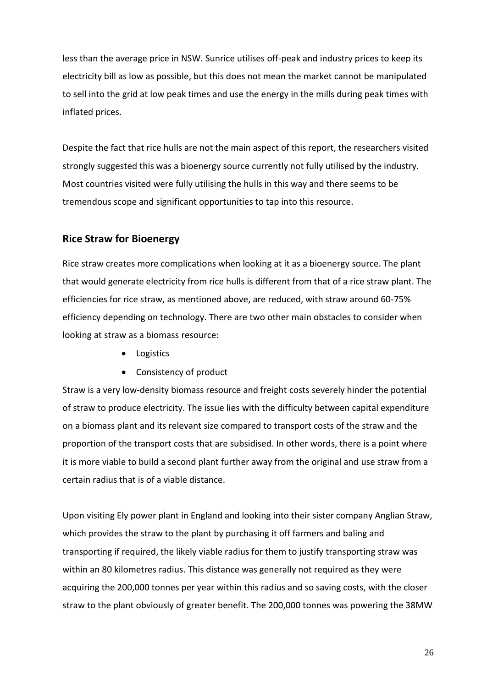less than the average price in NSW. Sunrice utilises off-peak and industry prices to keep its electricity bill as low as possible, but this does not mean the market cannot be manipulated to sell into the grid at low peak times and use the energy in the mills during peak times with inflated prices.

Despite the fact that rice hulls are not the main aspect of this report, the researchers visited strongly suggested this was a bioenergy source currently not fully utilised by the industry. Most countries visited were fully utilising the hulls in this way and there seems to be tremendous scope and significant opportunities to tap into this resource.

#### **Rice Straw for Bioenergy**

Rice straw creates more complications when looking at it as a bioenergy source. The plant that would generate electricity from rice hulls is different from that of a rice straw plant. The efficiencies for rice straw, as mentioned above, are reduced, with straw around 60-75% efficiency depending on technology. There are two other main obstacles to consider when looking at straw as a biomass resource:

- Logistics
- Consistency of product

Straw is a very low-density biomass resource and freight costs severely hinder the potential of straw to produce electricity. The issue lies with the difficulty between capital expenditure on a biomass plant and its relevant size compared to transport costs of the straw and the proportion of the transport costs that are subsidised. In other words, there is a point where it is more viable to build a second plant further away from the original and use straw from a certain radius that is of a viable distance.

Upon visiting Ely power plant in England and looking into their sister company Anglian Straw, which provides the straw to the plant by purchasing it off farmers and baling and transporting if required, the likely viable radius for them to justify transporting straw was within an 80 kilometres radius. This distance was generally not required as they were acquiring the 200,000 tonnes per year within this radius and so saving costs, with the closer straw to the plant obviously of greater benefit. The 200,000 tonnes was powering the 38MW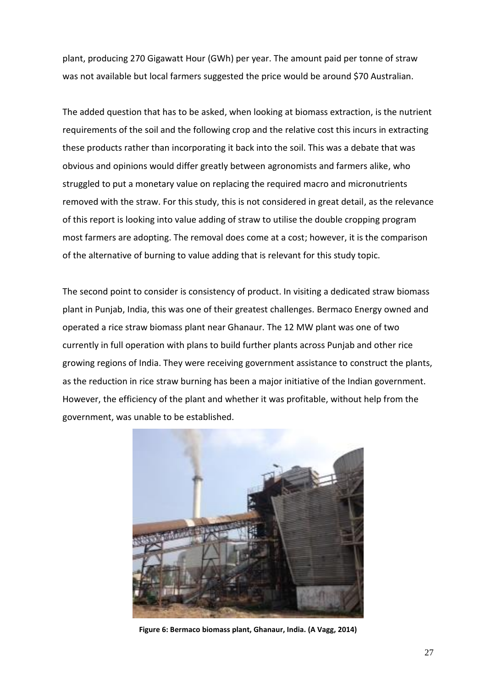plant, producing 270 Gigawatt Hour (GWh) per year. The amount paid per tonne of straw was not available but local farmers suggested the price would be around \$70 Australian.

The added question that has to be asked, when looking at biomass extraction, is the nutrient requirements of the soil and the following crop and the relative cost this incurs in extracting these products rather than incorporating it back into the soil. This was a debate that was obvious and opinions would differ greatly between agronomists and farmers alike, who struggled to put a monetary value on replacing the required macro and micronutrients removed with the straw. For this study, this is not considered in great detail, as the relevance of this report is looking into value adding of straw to utilise the double cropping program most farmers are adopting. The removal does come at a cost; however, it is the comparison of the alternative of burning to value adding that is relevant for this study topic.

The second point to consider is consistency of product. In visiting a dedicated straw biomass plant in Punjab, India, this was one of their greatest challenges. Bermaco Energy owned and operated a rice straw biomass plant near Ghanaur. The 12 MW plant was one of two currently in full operation with plans to build further plants across Punjab and other rice growing regions of India. They were receiving government assistance to construct the plants, as the reduction in rice straw burning has been a major initiative of the Indian government. However, the efficiency of the plant and whether it was profitable, without help from the government, was unable to be established.



**Figure 6: Bermaco biomass plant, Ghanaur, India. (A Vagg, 2014)**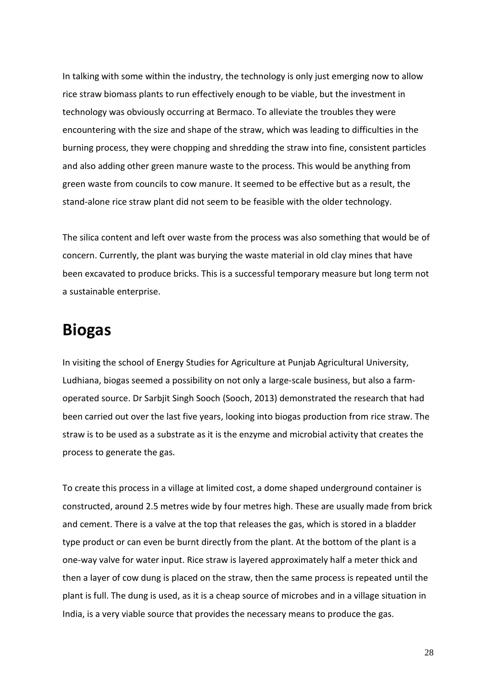In talking with some within the industry, the technology is only just emerging now to allow rice straw biomass plants to run effectively enough to be viable, but the investment in technology was obviously occurring at Bermaco. To alleviate the troubles they were encountering with the size and shape of the straw, which was leading to difficulties in the burning process, they were chopping and shredding the straw into fine, consistent particles and also adding other green manure waste to the process. This would be anything from green waste from councils to cow manure. It seemed to be effective but as a result, the stand-alone rice straw plant did not seem to be feasible with the older technology.

The silica content and left over waste from the process was also something that would be of concern. Currently, the plant was burying the waste material in old clay mines that have been excavated to produce bricks. This is a successful temporary measure but long term not a sustainable enterprise.

### **Biogas**

In visiting the school of Energy Studies for Agriculture at Punjab Agricultural University, Ludhiana, biogas seemed a possibility on not only a large-scale business, but also a farmoperated source. Dr Sarbjit Singh Sooch (Sooch, 2013) demonstrated the research that had been carried out over the last five years, looking into biogas production from rice straw. The straw is to be used as a substrate as it is the enzyme and microbial activity that creates the process to generate the gas.

To create this process in a village at limited cost, a dome shaped underground container is constructed, around 2.5 metres wide by four metres high. These are usually made from brick and cement. There is a valve at the top that releases the gas, which is stored in a bladder type product or can even be burnt directly from the plant. At the bottom of the plant is a one-way valve for water input. Rice straw is layered approximately half a meter thick and then a layer of cow dung is placed on the straw, then the same process is repeated until the plant is full. The dung is used, as it is a cheap source of microbes and in a village situation in India, is a very viable source that provides the necessary means to produce the gas.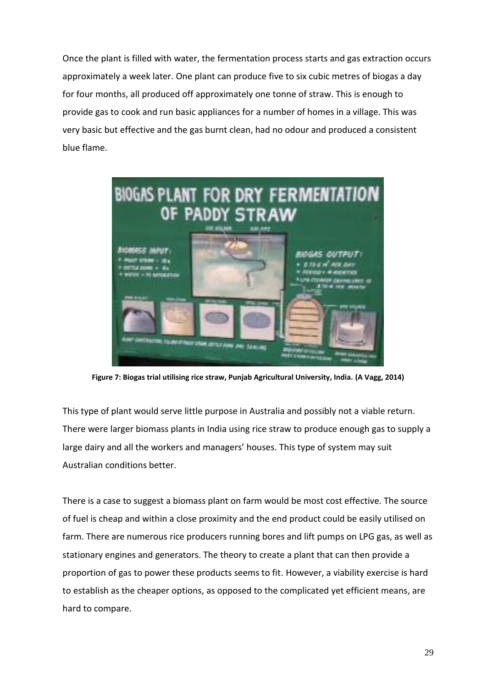Once the plant is filled with water, the fermentation process starts and gas extraction occurs approximately a week later. One plant can produce five to six cubic metres of biogas a day for four months, all produced off approximately one tonne of straw. This is enough to provide gas to cook and run basic appliances for a number of homes in a village. This was very basic but effective and the gas burnt clean, had no odour and produced a consistent blue flame.



**Figure 7: Biogas trial utilising rice straw, Punjab Agricultural University, India. (A Vagg, 2014)**

This type of plant would serve little purpose in Australia and possibly not a viable return. There were larger biomass plants in India using rice straw to produce enough gas to supply a large dairy and all the workers and managers' houses. This type of system may suit Australian conditions better.

There is a case to suggest a biomass plant on farm would be most cost effective. The source of fuel is cheap and within a close proximity and the end product could be easily utilised on farm. There are numerous rice producers running bores and lift pumps on LPG gas, as well as stationary engines and generators. The theory to create a plant that can then provide a proportion of gas to power these products seems to fit. However, a viability exercise is hard to establish as the cheaper options, as opposed to the complicated yet efficient means, are hard to compare.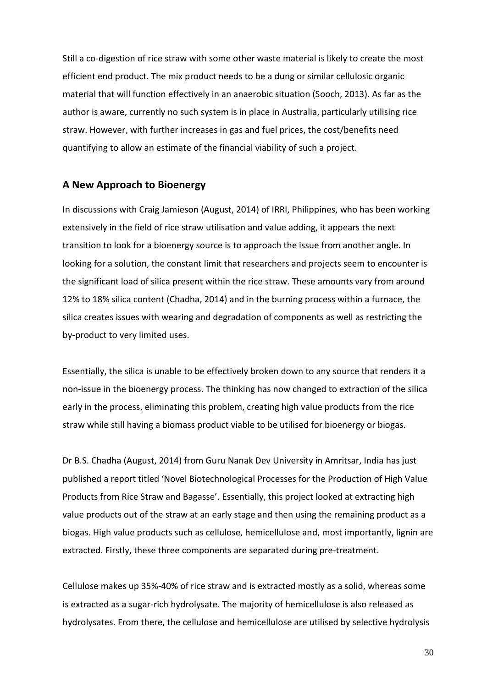Still a co-digestion of rice straw with some other waste material is likely to create the most efficient end product. The mix product needs to be a dung or similar cellulosic organic material that will function effectively in an anaerobic situation (Sooch, 2013). As far as the author is aware, currently no such system is in place in Australia, particularly utilising rice straw. However, with further increases in gas and fuel prices, the cost/benefits need quantifying to allow an estimate of the financial viability of such a project.

#### **A New Approach to Bioenergy**

In discussions with Craig Jamieson (August, 2014) of IRRI, Philippines, who has been working extensively in the field of rice straw utilisation and value adding, it appears the next transition to look for a bioenergy source is to approach the issue from another angle. In looking for a solution, the constant limit that researchers and projects seem to encounter is the significant load of silica present within the rice straw. These amounts vary from around 12% to 18% silica content (Chadha, 2014) and in the burning process within a furnace, the silica creates issues with wearing and degradation of components as well as restricting the by-product to very limited uses.

Essentially, the silica is unable to be effectively broken down to any source that renders it a non-issue in the bioenergy process. The thinking has now changed to extraction of the silica early in the process, eliminating this problem, creating high value products from the rice straw while still having a biomass product viable to be utilised for bioenergy or biogas.

Dr B.S. Chadha (August, 2014) from Guru Nanak Dev University in Amritsar, India has just published a report titled 'Novel Biotechnological Processes for the Production of High Value Products from Rice Straw and Bagasse'. Essentially, this project looked at extracting high value products out of the straw at an early stage and then using the remaining product as a biogas. High value products such as cellulose, hemicellulose and, most importantly, lignin are extracted. Firstly, these three components are separated during pre-treatment.

Cellulose makes up 35%-40% of rice straw and is extracted mostly as a solid, whereas some is extracted as a sugar-rich hydrolysate. The majority of hemicellulose is also released as hydrolysates. From there, the cellulose and hemicellulose are utilised by selective hydrolysis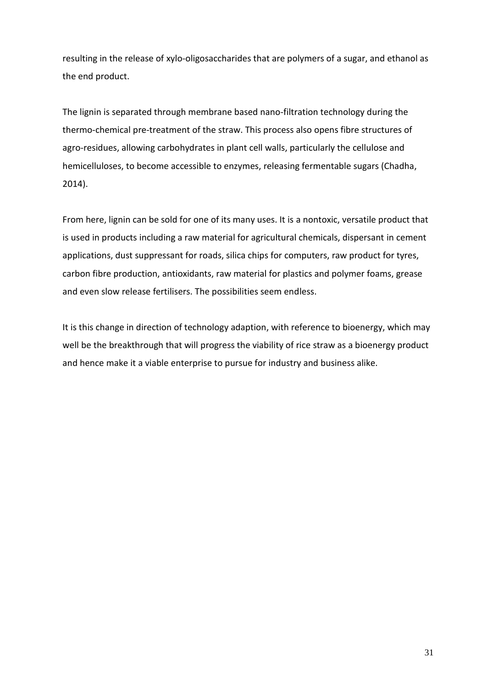resulting in the release of xylo-oligosaccharides that are polymers of a sugar, and ethanol as the end product.

The lignin is separated through membrane based nano-filtration technology during the thermo-chemical pre-treatment of the straw. This process also opens fibre structures of agro-residues, allowing carbohydrates in plant cell walls, particularly the cellulose and hemicelluloses, to become accessible to enzymes, releasing fermentable sugars (Chadha, 2014).

From here, lignin can be sold for one of its many uses. It is a nontoxic, versatile product that is used in products including a raw material for agricultural chemicals, dispersant in cement applications, dust suppressant for roads, silica chips for computers, raw product for tyres, carbon fibre production, antioxidants, raw material for plastics and polymer foams, grease and even slow release fertilisers. The possibilities seem endless.

It is this change in direction of technology adaption, with reference to bioenergy, which may well be the breakthrough that will progress the viability of rice straw as a bioenergy product and hence make it a viable enterprise to pursue for industry and business alike.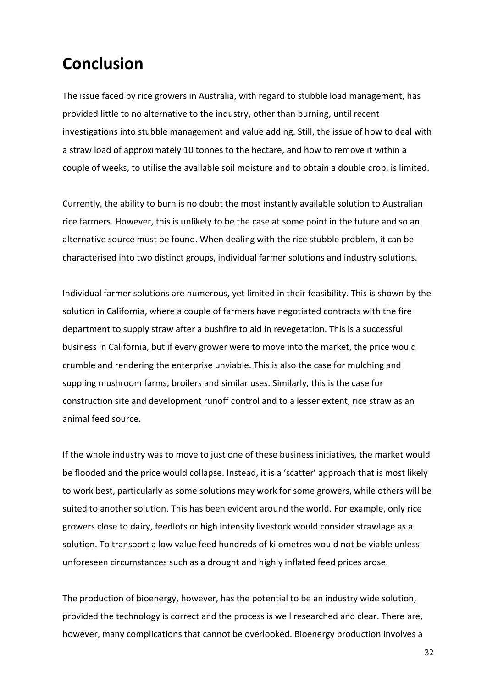### **Conclusion**

The issue faced by rice growers in Australia, with regard to stubble load management, has provided little to no alternative to the industry, other than burning, until recent investigations into stubble management and value adding. Still, the issue of how to deal with a straw load of approximately 10 tonnes to the hectare, and how to remove it within a couple of weeks, to utilise the available soil moisture and to obtain a double crop, is limited.

Currently, the ability to burn is no doubt the most instantly available solution to Australian rice farmers. However, this is unlikely to be the case at some point in the future and so an alternative source must be found. When dealing with the rice stubble problem, it can be characterised into two distinct groups, individual farmer solutions and industry solutions.

Individual farmer solutions are numerous, yet limited in their feasibility. This is shown by the solution in California, where a couple of farmers have negotiated contracts with the fire department to supply straw after a bushfire to aid in revegetation. This is a successful business in California, but if every grower were to move into the market, the price would crumble and rendering the enterprise unviable. This is also the case for mulching and suppling mushroom farms, broilers and similar uses. Similarly, this is the case for construction site and development runoff control and to a lesser extent, rice straw as an animal feed source.

If the whole industry was to move to just one of these business initiatives, the market would be flooded and the price would collapse. Instead, it is a 'scatter' approach that is most likely to work best, particularly as some solutions may work for some growers, while others will be suited to another solution. This has been evident around the world. For example, only rice growers close to dairy, feedlots or high intensity livestock would consider strawlage as a solution. To transport a low value feed hundreds of kilometres would not be viable unless unforeseen circumstances such as a drought and highly inflated feed prices arose.

The production of bioenergy, however, has the potential to be an industry wide solution, provided the technology is correct and the process is well researched and clear. There are, however, many complications that cannot be overlooked. Bioenergy production involves a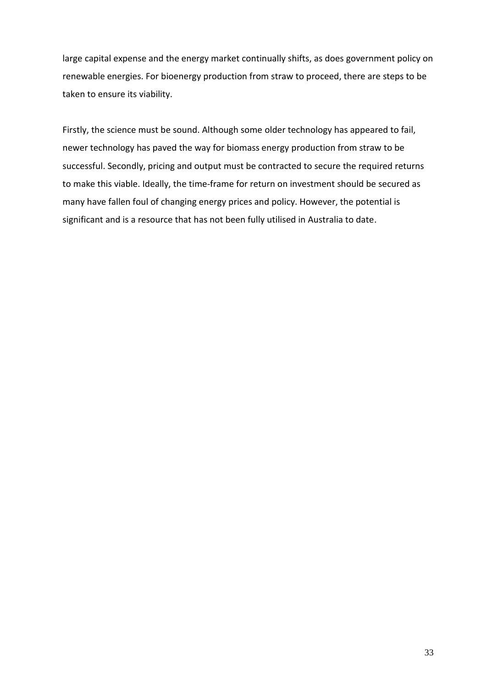large capital expense and the energy market continually shifts, as does government policy on renewable energies. For bioenergy production from straw to proceed, there are steps to be taken to ensure its viability.

Firstly, the science must be sound. Although some older technology has appeared to fail, newer technology has paved the way for biomass energy production from straw to be successful. Secondly, pricing and output must be contracted to secure the required returns to make this viable. Ideally, the time-frame for return on investment should be secured as many have fallen foul of changing energy prices and policy. However, the potential is significant and is a resource that has not been fully utilised in Australia to date.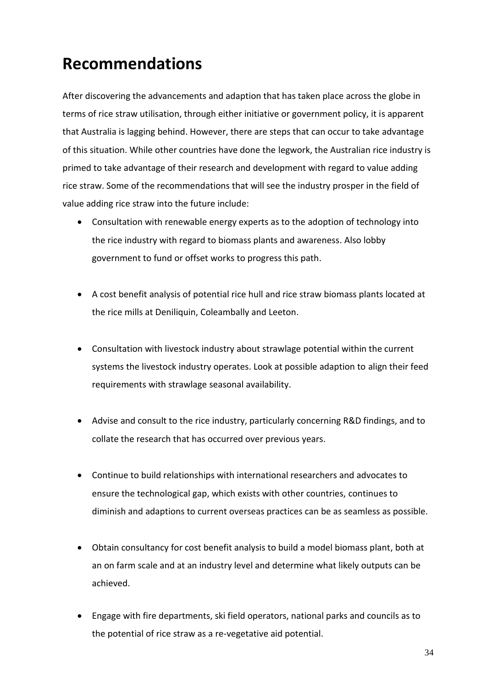### **Recommendations**

After discovering the advancements and adaption that has taken place across the globe in terms of rice straw utilisation, through either initiative or government policy, it is apparent that Australia is lagging behind. However, there are steps that can occur to take advantage of this situation. While other countries have done the legwork, the Australian rice industry is primed to take advantage of their research and development with regard to value adding rice straw. Some of the recommendations that will see the industry prosper in the field of value adding rice straw into the future include:

- Consultation with renewable energy experts as to the adoption of technology into the rice industry with regard to biomass plants and awareness. Also lobby government to fund or offset works to progress this path.
- A cost benefit analysis of potential rice hull and rice straw biomass plants located at the rice mills at Deniliquin, Coleambally and Leeton.
- Consultation with livestock industry about strawlage potential within the current systems the livestock industry operates. Look at possible adaption to align their feed requirements with strawlage seasonal availability.
- Advise and consult to the rice industry, particularly concerning R&D findings, and to collate the research that has occurred over previous years.
- Continue to build relationships with international researchers and advocates to ensure the technological gap, which exists with other countries, continues to diminish and adaptions to current overseas practices can be as seamless as possible.
- Obtain consultancy for cost benefit analysis to build a model biomass plant, both at an on farm scale and at an industry level and determine what likely outputs can be achieved.
- Engage with fire departments, ski field operators, national parks and councils as to the potential of rice straw as a re-vegetative aid potential.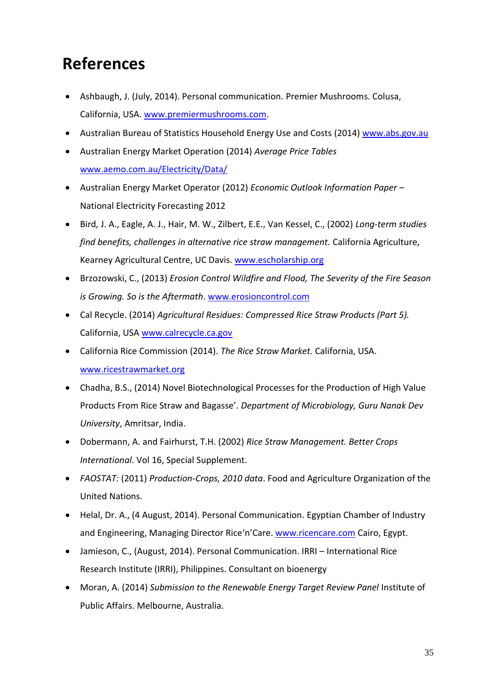## **References**

- Ashbaugh, J. (July, 2014). Personal communication. Premier Mushrooms. Colusa, California, USA. [www.premiermushrooms.com.](file:///C:/Users/avagg/AppData/Roaming/Microsoft/Word/www.premiermushrooms.com)
- Australian Bureau of Statistics Household Energy Use and Costs (2014) [www.abs.gov.au](http://www.abs.gov.au/)
- Australian Energy Market Operation (2014) *Average Price Tables* [www.aemo.com.au/Electricity/Data/](http://www.aemo.com.au/Electricity/Data/)
- Australian Energy Market Operator (2012) *Economic Outlook Information Paper*  National Electricity Forecasting 2012
- Bird*,* J. A., Eagle, A. J., Hair, M. W., Zilbert, E.E., Van Kessel, C., (2002) *Long-term studies find benefits, challenges in alternative rice straw management.* California Agriculture, Kearney Agricultural Centre, UC Davis. [www.escholarship.org](http://www.escholarship.org/)
- Brzozowski, C., (2013) *Erosion Control Wildfire and Flood, The Severity of the Fire Season is Growing. So is the Aftermath*. [www.erosioncontrol.com](http://www.erosioncontrol.com/)
- Cal Recycle. (2014) *Agricultural Residues: Compressed Rice Straw Products (Part 5).*  California, USA [www.calrecycle.ca.gov](http://www.calrecycle.ca.gov/)
- California Rice Commission (2014). *The Rice Straw Market.* California, USA. [www.ricestrawmarket.org](http://www.ricestrawmarket.org/)
- Chadha, B.S., (2014) Novel Biotechnological Processes for the Production of High Value Products From Rice Straw and Bagasse'. *Department of Microbiology, Guru Nanak Dev University*, Amritsar, India.
- Dobermann, A. and Fairhurst, T.H. (2002) *Rice Straw Management. Better Crops International*. Vol 16, Special Supplement.
- *FAOSTAT:* (2011) *Production-Crops, 2010 data*. Food and Agriculture Organization of the United Nations.
- Helal, Dr. A., (4 August, 2014). Personal Communication. Egyptian Chamber of Industry and Engineering, Managing Director Rice'n'Care. [www.ricencare.com](http://www.ricencare.com/) Cairo, Egypt.
- Jamieson, C., (August, 2014). Personal Communication. IRRI International Rice Research Institute (IRRI), Philippines. Consultant on bioenergy
- Moran, A. (2014) *Submission to the Renewable Energy Target Review Panel* Institute of Public Affairs. Melbourne, Australia.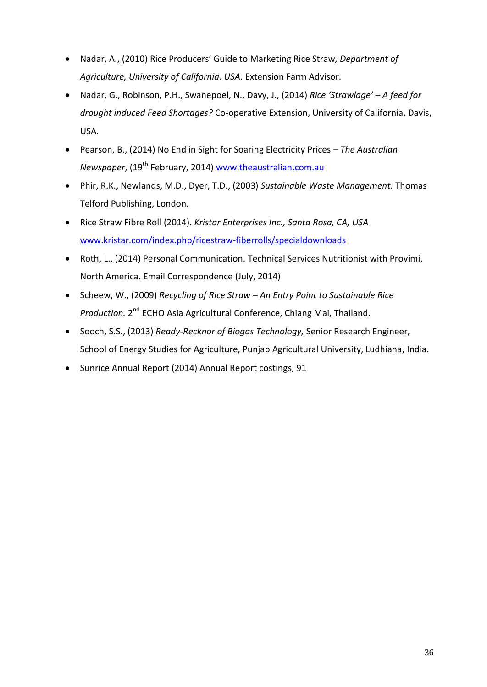- Nadar, A., (2010) Rice Producers' Guide to Marketing Rice Straw*, Department of Agriculture, University of California. USA.* Extension Farm Advisor.
- Nadar, G., Robinson, P.H., Swanepoel, N., Davy, J., (2014) *Rice 'Strawlage' – A feed for drought induced Feed Shortages?* Co-operative Extension, University of California, Davis, USA.
- Pearson, B., (2014) No End in Sight for Soaring Electricity Prices *– The Australian Newspaper*, (19 th February, 2014) [www.theaustralian.com.au](http://www.theaustralian.com.au/)
- Phir, R.K., Newlands, M.D., Dyer, T.D., (2003) *Sustainable Waste Management.* Thomas Telford Publishing, London.
- Rice Straw Fibre Roll (2014). *Kristar Enterprises Inc., Santa Rosa, CA, USA*  www.kristar.com/index.php/ricestraw-fiberrolls/specialdownloads
- Roth, L., (2014) Personal Communication. Technical Services Nutritionist with Provimi, North America. Email Correspondence (July, 2014)
- Scheew, W., (2009) *Recycling of Rice Straw – An Entry Point to Sustainable Rice*  Production. 2<sup>nd</sup> ECHO Asia Agricultural Conference, Chiang Mai, Thailand.
- Sooch, S.S., (2013) *Ready-Recknor of Biogas Technology,* Senior Research Engineer, School of Energy Studies for Agriculture, Punjab Agricultural University, Ludhiana, India.
- Sunrice Annual Report (2014) Annual Report costings, 91